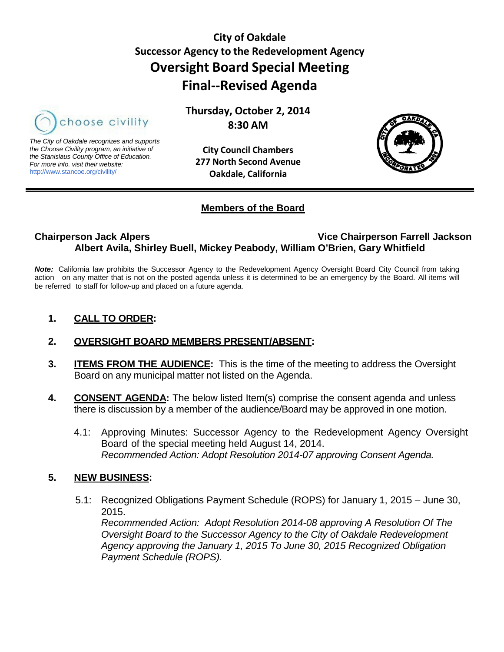# **City of Oakdale Successor Agency to the Redevelopment Agency Oversight Board Special Meeting Final--Revised Agenda**



*The City of Oakdale recognizes and supports the Choose Civility program, an initiative of the Stanislaus County Office of Education. For more info. visit their website:* [http://www.stancoe.org/civility/](http://links.schoolloop.com/link/rd?href=736c5f6c696e6b6666303163633065623266687474703a2f2f7777772e7374616e636f652e6f72672f636976696c6974792f)

**City Council Chambers 277 North Second Avenue**

**Oakdale, California**

**Thursday, October 2, 2014 8:30 AM**



## **Members of the Board**

## **Chairperson Jack Alpers Vice Chairperson Farrell Jackson Albert Avila, Shirley Buell, Mickey Peabody, William O'Brien, Gary Whitfield**

*Note:* California law prohibits the Successor Agency to the Redevelopment Agency Oversight Board City Council from taking action on any matter that is not on the posted agenda unless it is determined to be an emergency by the Board. All items will be referred to staff for follow-up and placed on a future agenda.

**1. CALL TO ORDER:**

## **2. OVERSIGHT BOARD MEMBERS PRESENT/ABSENT:**

- **3. ITEMS FROM THE AUDIENCE:** This is the time of the meeting to address the Oversight Board on any municipal matter not listed on the Agenda.
- **4. CONSENT AGENDA:** The below listed Item(s) comprise the consent agenda and unless there is discussion by a member of the audience/Board may be approved in one motion.
	- 4.1: Approving Minutes: Successor Agency to the Redevelopment Agency Oversight Board of the special meeting held August 14, 2014. *Recommended Action: Adopt Resolution 2014-07 approving Consent Agenda.*

## **5. NEW BUSINESS:**

5.1: Recognized Obligations Payment Schedule (ROPS) for January 1, 2015 – June 30, 2015. *Recommended Action: Adopt Resolution 2014-08 approving A Resolution Of The Oversight Board to the Successor Agency to the City of Oakdale Redevelopment Agency approving the January 1, 2015 To June 30, 2015 Recognized Obligation Payment Schedule (ROPS).*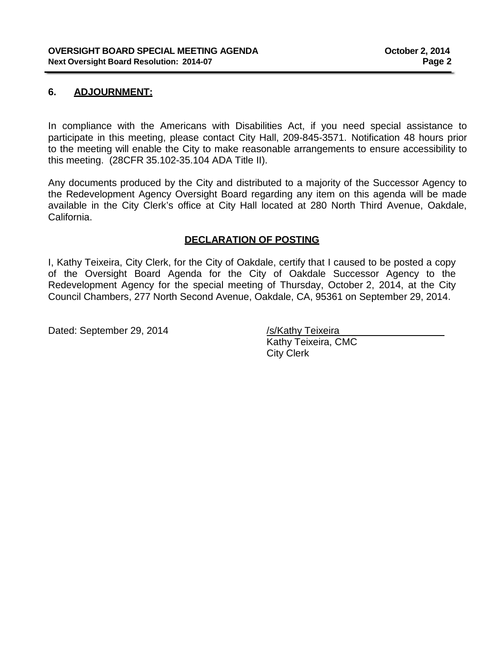## **6. ADJOURNMENT:**

In compliance with the Americans with Disabilities Act, if you need special assistance to participate in this meeting, please contact City Hall, 209-845-3571. Notification 48 hours prior to the meeting will enable the City to make reasonable arrangements to ensure accessibility to this meeting. (28CFR 35.102-35.104 ADA Title II).

Any documents produced by the City and distributed to a majority of the Successor Agency to the Redevelopment Agency Oversight Board regarding any item on this agenda will be made available in the City Clerk's office at City Hall located at 280 North Third Avenue, Oakdale, California.

## **DECLARATION OF POSTING**

I, Kathy Teixeira, City Clerk, for the City of Oakdale, certify that I caused to be posted a copy of the Oversight Board Agenda for the City of Oakdale Successor Agency to the Redevelopment Agency for the special meeting of Thursday, October 2, 2014, at the City Council Chambers, 277 North Second Avenue, Oakdale, CA, 95361 on September 29, 2014.

Dated: September 29, 2014 /s/Kathy Teixeira

Kathy Teixeira, CMC City Clerk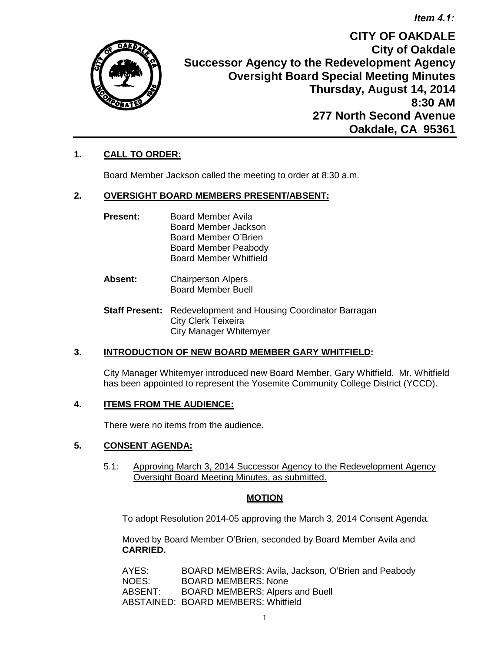*Item 4.1:*



**CITY OF OAKDALE City of Oakdale Successor Agency to the Redevelopment Agency Oversight Board Special Meeting Minutes Thursday, August 14, 2014 8:30 AM 277 North Second Avenue Oakdale, CA 95361**

## **1. CALL TO ORDER:**

Board Member Jackson called the meeting to order at 8:30 a.m.

#### **2. OVERSIGHT BOARD MEMBERS PRESENT/ABSENT:**

- **Present:** Board Member Avila Board Member Jackson Board Member O'Brien Board Member Peabody Board Member Whitfield
- **Absent:** Chairperson Alpers Board Member Buell
- **Staff Present:** Redevelopment and Housing Coordinator Barragan City Clerk Teixeira City Manager Whitemyer

## **3. INTRODUCTION OF NEW BOARD MEMBER GARY WHITFIELD:**

City Manager Whitemyer introduced new Board Member, Gary Whitfield. Mr. Whitfield has been appointed to represent the Yosemite Community College District (YCCD).

#### **4. ITEMS FROM THE AUDIENCE:**

There were no items from the audience.

## **5. CONSENT AGENDA:**

 5.1: Approving March 3, 2014 Successor Agency to the Redevelopment Agency Oversight Board Meeting Minutes, as submitted.

## **MOTION**

To adopt Resolution 2014-05 approving the March 3, 2014 Consent Agenda.

Moved by Board Member O'Brien, seconded by Board Member Avila and **CARRIED.**

| AYES:   | BOARD MEMBERS: Avila, Jackson, O'Brien and Peabody |
|---------|----------------------------------------------------|
| NOES:   | <b>BOARD MEMBERS: None</b>                         |
| ABSENT: | <b>BOARD MEMBERS: Alpers and Buell</b>             |
|         | <b>ABSTAINED: BOARD MEMBERS: Whitfield</b>         |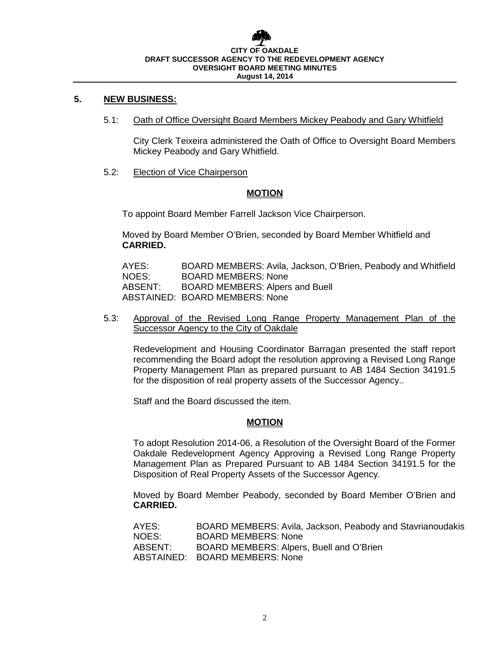## **CITY OF OAKDALE DRAFT SUCCESSOR AGENCY TO THE REDEVELOPMENT AGENCY OVERSIGHT BOARD MEETING MINUTES August 14, 2014**

#### **5. NEW BUSINESS:**

5.1: Oath of Office Oversight Board Members Mickey Peabody and Gary Whitfield

City Clerk Teixeira administered the Oath of Office to Oversight Board Members Mickey Peabody and Gary Whitfield.

5.2: Election of Vice Chairperson

#### **MOTION**

To appoint Board Member Farrell Jackson Vice Chairperson.

Moved by Board Member O'Brien, seconded by Board Member Whitfield and **CARRIED.**

AYES: BOARD MEMBERS: Avila, Jackson, O'Brien, Peabody and Whitfield NOES: BOARD MEMBERS: None ABSENT: BOARD MEMBERS: Alpers and Buell ABSTAINED: BOARD MEMBERS: None

5.3: Approval of the Revised Long Range Property Management Plan of the Successor Agency to the City of Oakdale

Redevelopment and Housing Coordinator Barragan presented the staff report recommending the Board adopt the resolution approving a Revised Long Range Property Management Plan as prepared pursuant to AB 1484 Section 34191.5 for the disposition of real property assets of the Successor Agency..

Staff and the Board discussed the item.

#### **MOTION**

To adopt Resolution 2014-06, a Resolution of the Oversight Board of the Former Oakdale Redevelopment Agency Approving a Revised Long Range Property Management Plan as Prepared Pursuant to AB 1484 Section 34191.5 for the Disposition of Real Property Assets of the Successor Agency.

Moved by Board Member Peabody, seconded by Board Member O'Brien and **CARRIED.**

| AYES:   | BOARD MEMBERS: Avila, Jackson, Peabody and Stavrianoudakis |
|---------|------------------------------------------------------------|
| NOES:   | <b>BOARD MEMBERS: None</b>                                 |
| ABSENT: | BOARD MEMBERS: Alpers, Buell and O'Brien                   |
|         | ABSTAINED: BOARD MEMBERS: None                             |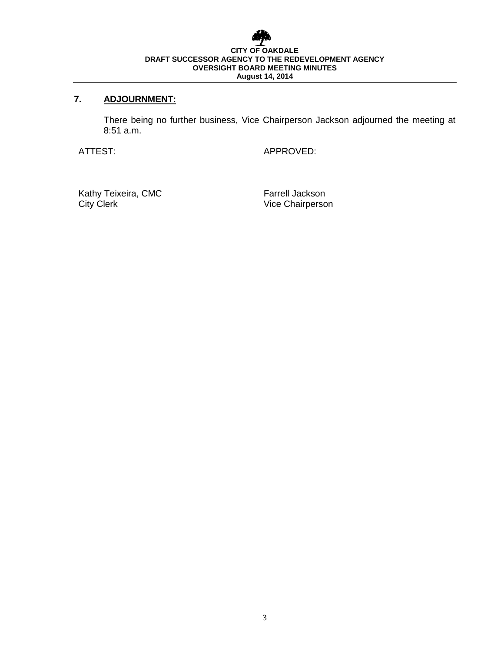## **CITY OF OAKDALE DRAFT SUCCESSOR AGENCY TO THE REDEVELOPMENT AGENCY OVERSIGHT BOARD MEETING MINUTES August 14, 2014**

## **7. ADJOURNMENT:**

There being no further business, Vice Chairperson Jackson adjourned the meeting at 8:51 a.m.

ATTEST: APPROVED:

Kathy Teixeira, CMC<br>
City Clerk<br>
City Clerk<br>
City Clerk<br>
City Clerk<br>
City Clerk<br>
City Clerk<br>
City Clerk<br>
City Clerk<br>
City Clerk<br>
City Clerk<br>
City Clerk<br>
City Clerk<br>
City Clerk<br>
City Clerk<br>
City Clerk<br>
City Clerk<br>
City Cler

Vice Chairperson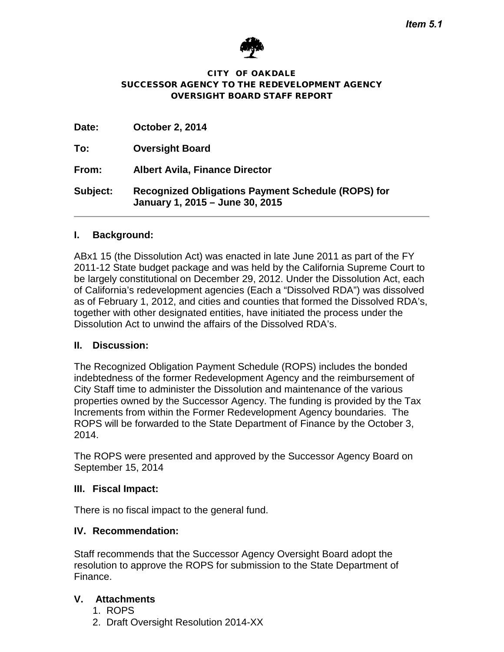

#### CITY OF OAKDALE SUCCESSOR AGENCY TO THE REDEVELOPMENT AGENCY OVERSIGHT BOARD STAFF REPORT

| Date:           | <b>October 2, 2014</b>                                                                       |
|-----------------|----------------------------------------------------------------------------------------------|
| To:             | <b>Oversight Board</b>                                                                       |
| From:           | <b>Albert Avila, Finance Director</b>                                                        |
| <b>Subject:</b> | <b>Recognized Obligations Payment Schedule (ROPS) for</b><br>January 1, 2015 - June 30, 2015 |

## **I. Background:**

ABx1 15 (the Dissolution Act) was enacted in late June 2011 as part of the FY 2011-12 State budget package and was held by the California Supreme Court to be largely constitutional on December 29, 2012. Under the Dissolution Act, each of California's redevelopment agencies (Each a "Dissolved RDA") was dissolved as of February 1, 2012, and cities and counties that formed the Dissolved RDA's, together with other designated entities, have initiated the process under the Dissolution Act to unwind the affairs of the Dissolved RDA's.

## **II. Discussion:**

The Recognized Obligation Payment Schedule (ROPS) includes the bonded indebtedness of the former Redevelopment Agency and the reimbursement of City Staff time to administer the Dissolution and maintenance of the various properties owned by the Successor Agency. The funding is provided by the Tax Increments from within the Former Redevelopment Agency boundaries. The ROPS will be forwarded to the State Department of Finance by the October 3, 2014.

The ROPS were presented and approved by the Successor Agency Board on September 15, 2014

## **III. Fiscal Impact:**

There is no fiscal impact to the general fund.

## **IV. Recommendation:**

Staff recommends that the Successor Agency Oversight Board adopt the resolution to approve the ROPS for submission to the State Department of Finance.

## **V. Attachments**

- 1. ROPS
- 2. Draft Oversight Resolution 2014-XX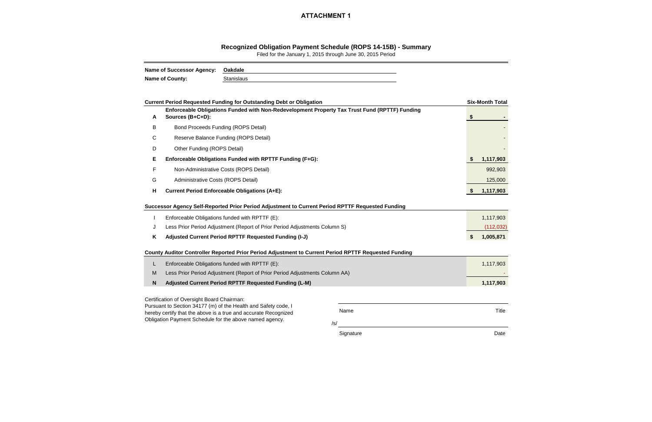/s/

Signature **Date** 

|   | <b>Current Period Requested Funding for Outstanding Debt or Obligation</b>                                                                                                                   |      |    | <b>Six-Month Total</b>  |  |  |  |  |  |  |
|---|----------------------------------------------------------------------------------------------------------------------------------------------------------------------------------------------|------|----|-------------------------|--|--|--|--|--|--|
| A | Enforceable Obligations Funded with Non-Redevelopment Property Tax Trust Fund (RPTTF) Funding<br>Sources (B+C+D):                                                                            |      | -S |                         |  |  |  |  |  |  |
| B | <b>Bond Proceeds Funding (ROPS Detail)</b>                                                                                                                                                   |      |    |                         |  |  |  |  |  |  |
| С | Reserve Balance Funding (ROPS Detail)                                                                                                                                                        |      |    |                         |  |  |  |  |  |  |
| D | Other Funding (ROPS Detail)                                                                                                                                                                  |      |    |                         |  |  |  |  |  |  |
| Е | Enforceable Obligations Funded with RPTTF Funding (F+G):                                                                                                                                     |      |    |                         |  |  |  |  |  |  |
| F | Non-Administrative Costs (ROPS Detail)                                                                                                                                                       |      |    | 992,903                 |  |  |  |  |  |  |
| G | Administrative Costs (ROPS Detail)                                                                                                                                                           |      |    |                         |  |  |  |  |  |  |
| н | <b>Current Period Enforceable Obligations (A+E):</b>                                                                                                                                         |      |    |                         |  |  |  |  |  |  |
| J | Successor Agency Self-Reported Prior Period Adjustment to Current Period RPTTF Requested Funding<br>Enforceable Obligations funded with RPTTF (E):                                           |      |    | 1,117,903<br>(112, 032) |  |  |  |  |  |  |
| Κ | Less Prior Period Adjustment (Report of Prior Period Adjustments Column S)<br>Adjusted Current Period RPTTF Requested Funding (I-J)                                                          |      |    |                         |  |  |  |  |  |  |
|   | County Auditor Controller Reported Prior Period Adjustment to Current Period RPTTF Requested Funding                                                                                         |      |    |                         |  |  |  |  |  |  |
| L | Enforceable Obligations funded with RPTTF (E):                                                                                                                                               |      |    | 1,117,903               |  |  |  |  |  |  |
| M | Less Prior Period Adjustment (Report of Prior Period Adjustments Column AA)                                                                                                                  |      |    |                         |  |  |  |  |  |  |
| N | Adjusted Current Period RPTTF Requested Funding (L-M)                                                                                                                                        |      |    | 1,117,903               |  |  |  |  |  |  |
|   | Certification of Oversight Board Chairman:                                                                                                                                                   |      |    |                         |  |  |  |  |  |  |
|   | Pursuant to Section 34177 (m) of the Health and Safety code, I<br>hereby certify that the above is a true and accurate Recognized<br>Obligation Payment Schedule for the above named agency. | Name |    | Title                   |  |  |  |  |  |  |

## **Recognized Obligation Payment Schedule (ROPS 14-15B) - Summary**

Filed for the January 1, 2015 through June 30, 2015 Period

| <b>Name of Successor Agency:</b> | Oakdale    |
|----------------------------------|------------|
| <b>Name of County:</b>           | Stanislaus |

## **ATTACHMENT 1**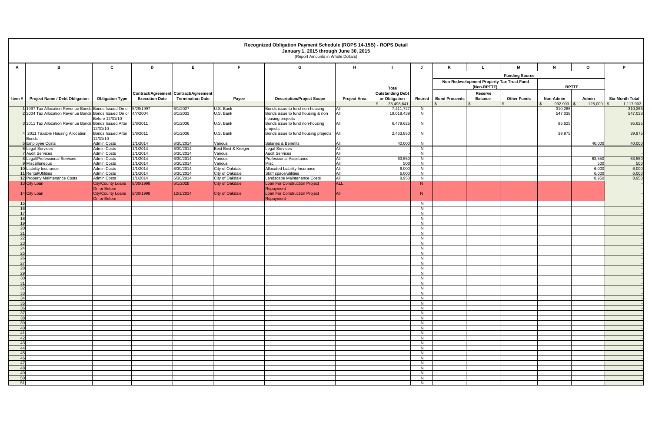|                |                                                                                                                                     |                                          |                                       |                         |                        | (Report Amounts in Whole Dollars)                                    |                     |                         |                      |                                                          |                |                       |                            |                |                    |
|----------------|-------------------------------------------------------------------------------------------------------------------------------------|------------------------------------------|---------------------------------------|-------------------------|------------------------|----------------------------------------------------------------------|---------------------|-------------------------|----------------------|----------------------------------------------------------|----------------|-----------------------|----------------------------|----------------|--------------------|
| A              | B                                                                                                                                   | $\mathbf c$                              | D                                     | E                       |                        | G                                                                    | H                   |                         |                      |                                                          |                | M                     | N                          | $\mathbf{o}$   | P                  |
|                |                                                                                                                                     |                                          |                                       |                         |                        |                                                                      |                     |                         |                      |                                                          |                | <b>Funding Source</b> |                            |                |                    |
|                |                                                                                                                                     |                                          |                                       |                         |                        |                                                                      |                     |                         |                      |                                                          |                |                       |                            |                |                    |
|                |                                                                                                                                     |                                          |                                       |                         |                        |                                                                      |                     | <b>Total</b>            |                      | Non-Redevelopment Property Tax Trust Fund<br>(Non-RPTTF) |                |                       | <b>RPTTF</b>               |                |                    |
|                |                                                                                                                                     |                                          | Contract/Agreement Contract/Agreement |                         |                        |                                                                      |                     | <b>Outstanding Debt</b> |                      |                                                          | <b>Reserve</b> |                       |                            |                |                    |
|                | Item #   Project Name / Debt Obligation                                                                                             | <b>Obligation Type</b>                   | <b>Execution Date</b>                 | <b>Termination Date</b> | Payee                  | <b>Description/Project Scope</b>                                     | <b>Project Area</b> | or Obligation           |                      | Retired   Bond Proceeds                                  | <b>Balance</b> | <b>Other Funds</b>    | Non-Admin                  | Admin          | Six-Month Total    |
|                |                                                                                                                                     |                                          |                                       |                         |                        |                                                                      |                     | 35,498,641              |                      |                                                          |                | l S                   | $992,903$ \$<br>$\sqrt{3}$ | $125,000$ \ \$ | 1,117,903          |
|                | 1 1997 Tax Allocation Revenue Bonds Bonds Issued On or 5/29/1997<br>2 2004 Tax Allocation Revenue Bonds Bonds Issued On or 4/7/2004 |                                          |                                       | 6/1/2027<br>6/1/2033    | U.S. Bank<br>U.S. Bank | Bonds issue to fund non-housing<br>Bonds issue to fund housing & non | All<br>All          | 7,411,727<br>19,018,439 | N<br>N               |                                                          |                |                       | 310,265<br>547,038         |                | 310,265<br>547,038 |
|                |                                                                                                                                     | Before 12/31/10                          |                                       |                         |                        | housing projects                                                     |                     |                         |                      |                                                          |                |                       |                            |                |                    |
|                | 32011 Tax Allocation Revenue Bonds Bonds Issued After                                                                               |                                          | 3/8/2011                              | 6/1/2036                | U.S. Bank              | Bonds issue to fund non-housing                                      | All                 | 6,479,625               | N                    |                                                          |                |                       | 95,625                     |                | 95,625             |
|                | 4 2011 Taxable Housing Allocation                                                                                                   | 12/31/10<br><b>Bonds Issued After</b>    | 3/8/2011                              | 6/1/2036                | U.S. Bank              | projects<br>Bonds issue to fund housing projects All                 |                     | 2,463,850               | N                    |                                                          |                |                       | 39,975                     |                | 39,975             |
|                | Bonds                                                                                                                               | 12/31/10                                 |                                       |                         |                        |                                                                      |                     |                         |                      |                                                          |                |                       |                            |                |                    |
|                | 5 Employee Costs                                                                                                                    | <b>Admin Costs</b>                       | 1/1/2014                              | 6/30/2014               | Various                | Salaries & Benefits                                                  | <b>A</b> ll         | 40,000                  | N                    |                                                          |                |                       |                            | 40,000         | 40,000             |
|                | <b>6</b> Legal Services                                                                                                             | <b>Admin Costs</b>                       | 1/1/2014                              | 6/30/2014               | Best Best & Kreiger    | <b>Legal Services</b>                                                | All                 |                         | N                    |                                                          |                |                       |                            |                |                    |
|                | 7 Audit Services                                                                                                                    | <b>Admin Costs</b>                       | 1/1/2014                              | 6/30/2014               | Various                | <b>Audit Services</b>                                                | All                 |                         | N                    |                                                          |                |                       |                            |                |                    |
|                | 8 Legal/Professional Services<br>9 Miscellaneous                                                                                    | <b>Admin Costs</b><br><b>Admin Costs</b> | 1/1/2014<br>1/1/2014                  | 6/30/2014<br>6/30/2014  | Various<br>Various     | <b>Professional Assistance</b><br>Misc                               | All<br>All          | 63,550<br>500           | N<br>N               |                                                          |                |                       |                            | 63,550<br>500  | 63,550<br>500      |
|                | 10 Liability Insurance                                                                                                              | <b>Admin Costs</b>                       | 1/1/2014                              | 6/30/2014               | City of Oakdale        | <b>Allocated Liability Insurance</b>                                 | All                 | 6,000                   | N                    |                                                          |                |                       |                            | 6,000          | 6,000              |
|                | 11 Rental/Utilities                                                                                                                 | <b>Admin Costs</b>                       | 1/1/2014                              | 6/30/2014               | City of Oakdale        | Staff space/utilities                                                | All                 | 6,000                   | N                    |                                                          |                |                       |                            | 6,000          | 6,000              |
|                | 12 Property Maintenance Costs                                                                                                       | <b>Admin Costs</b>                       | 1/1/2014                              | 6/30/2014               | City of Oakdale        | Landscape Maintenance Costs                                          | All                 | 8,950                   | N                    |                                                          |                |                       |                            | 8,950          | 8,950              |
|                | 13 City Loan                                                                                                                        | City/County Loans                        | 9/30/1998                             | 6/1/2028                | <b>City of Oakdale</b> | Loan For Construction Project                                        | <b>ALL</b>          |                         | N                    |                                                          |                |                       |                            |                |                    |
|                |                                                                                                                                     | On or Before                             | 9/30/1998                             | 12/1/2034               | <b>City of Oakdale</b> | Repayment<br>Loan For Construction Project                           | IAII.               |                         |                      |                                                          |                |                       |                            |                |                    |
|                | 14 City Loan                                                                                                                        | City/County Loans<br>On or Before        |                                       |                         |                        | Repayment                                                            |                     |                         | N                    |                                                          |                |                       |                            |                |                    |
| 15             |                                                                                                                                     |                                          |                                       |                         |                        |                                                                      |                     |                         | N                    |                                                          |                |                       |                            |                |                    |
| 16             |                                                                                                                                     |                                          |                                       |                         |                        |                                                                      |                     |                         | N                    |                                                          |                |                       |                            |                |                    |
| 17             |                                                                                                                                     |                                          |                                       |                         |                        |                                                                      |                     |                         | N                    |                                                          |                |                       |                            |                |                    |
| 18             |                                                                                                                                     |                                          |                                       |                         |                        |                                                                      |                     |                         | N                    |                                                          |                |                       |                            |                |                    |
| 19<br>20       |                                                                                                                                     |                                          |                                       |                         |                        |                                                                      |                     |                         | N<br>N               |                                                          |                |                       |                            |                |                    |
| 21             |                                                                                                                                     |                                          |                                       |                         |                        |                                                                      |                     |                         | N                    |                                                          |                |                       |                            |                |                    |
|                |                                                                                                                                     |                                          |                                       |                         |                        |                                                                      |                     |                         | -N                   |                                                          |                |                       |                            |                |                    |
| 23             |                                                                                                                                     |                                          |                                       |                         |                        |                                                                      |                     |                         | <b>N</b>             |                                                          |                |                       |                            |                |                    |
| 24             |                                                                                                                                     |                                          |                                       |                         |                        |                                                                      |                     |                         | <b>N</b>             |                                                          |                |                       |                            |                |                    |
| 25             |                                                                                                                                     |                                          |                                       |                         |                        |                                                                      |                     |                         | - N                  |                                                          |                |                       |                            |                |                    |
| 26             |                                                                                                                                     |                                          |                                       |                         |                        |                                                                      |                     |                         | - N                  |                                                          |                |                       |                            |                |                    |
| 27<br>28       |                                                                                                                                     |                                          |                                       |                         |                        |                                                                      |                     |                         | N.<br>N.             |                                                          |                |                       |                            |                |                    |
| 2 <sup>c</sup> |                                                                                                                                     |                                          |                                       |                         |                        |                                                                      |                     |                         | N.                   |                                                          |                |                       |                            |                |                    |
| 30             |                                                                                                                                     |                                          |                                       |                         |                        |                                                                      |                     |                         | N                    |                                                          |                |                       |                            |                |                    |
| 31             |                                                                                                                                     |                                          |                                       |                         |                        |                                                                      |                     |                         | N.                   |                                                          |                |                       |                            |                |                    |
| -32            |                                                                                                                                     |                                          |                                       |                         |                        |                                                                      |                     |                         | - N                  |                                                          |                |                       |                            |                |                    |
| 33             |                                                                                                                                     |                                          |                                       |                         |                        |                                                                      |                     |                         | N                    |                                                          |                |                       |                            |                |                    |
| 34<br>35       |                                                                                                                                     |                                          |                                       |                         |                        |                                                                      |                     |                         | N.<br>N.             |                                                          |                |                       |                            |                |                    |
| 36             |                                                                                                                                     |                                          |                                       |                         |                        |                                                                      |                     |                         | <b>N</b>             |                                                          |                |                       |                            |                |                    |
| -37            |                                                                                                                                     |                                          |                                       |                         |                        |                                                                      |                     |                         | N.                   |                                                          |                |                       |                            |                |                    |
|                |                                                                                                                                     |                                          |                                       |                         |                        |                                                                      |                     |                         | - N                  |                                                          |                |                       |                            |                |                    |
| 3 <sup>c</sup> |                                                                                                                                     |                                          |                                       |                         |                        |                                                                      |                     |                         | N.                   |                                                          |                |                       |                            |                |                    |
|                |                                                                                                                                     |                                          |                                       |                         |                        |                                                                      |                     |                         | N.                   |                                                          |                |                       |                            |                |                    |
|                |                                                                                                                                     |                                          |                                       |                         |                        |                                                                      |                     |                         | <b>N</b><br>- N      |                                                          |                |                       |                            |                |                    |
|                |                                                                                                                                     |                                          |                                       |                         |                        |                                                                      |                     |                         | N.                   |                                                          |                |                       |                            |                |                    |
|                |                                                                                                                                     |                                          |                                       |                         |                        |                                                                      |                     |                         | - N                  |                                                          |                |                       |                            |                |                    |
|                |                                                                                                                                     |                                          |                                       |                         |                        |                                                                      |                     |                         | N.                   |                                                          |                |                       |                            |                |                    |
|                |                                                                                                                                     |                                          |                                       |                         |                        |                                                                      |                     |                         | N                    |                                                          |                |                       |                            |                |                    |
|                |                                                                                                                                     |                                          |                                       |                         |                        |                                                                      |                     |                         | N.                   |                                                          |                |                       |                            |                |                    |
|                |                                                                                                                                     |                                          |                                       |                         |                        |                                                                      |                     |                         | <b>N</b><br><b>N</b> |                                                          |                |                       |                            |                |                    |
| -50            |                                                                                                                                     |                                          |                                       |                         |                        |                                                                      |                     |                         | <sup>N</sup>         |                                                          |                |                       |                            |                |                    |
| 51             |                                                                                                                                     |                                          |                                       |                         |                        |                                                                      |                     |                         | N.                   |                                                          |                |                       |                            |                |                    |
|                |                                                                                                                                     |                                          |                                       |                         |                        |                                                                      |                     |                         |                      |                                                          |                |                       |                            |                |                    |

# **Recognized Obligation Payment Schedule (ROPS 14-15B) - ROPS Detail**

**January 1, 2015 through June 30, 2015**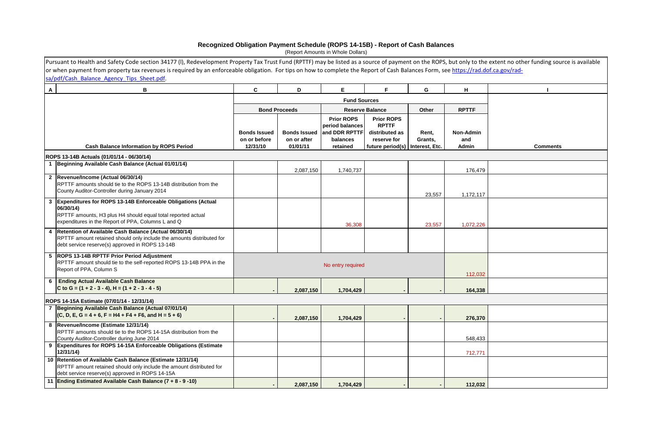| Pursuant to Health and Safety Code section 34177 (I), Redevelopment Property Tax Trust Fund (RPTTF) may be listed as a source of payment on the ROPS, but only to the extent no other funding source is available<br>sa/pdf/Cash Balance Agency Tips Sheet.pdf.<br>$\mathsf{A}$<br>F.<br>C<br>Е<br>G<br>H<br>В<br>D<br><b>Fund Sources</b><br><b>RPTTF</b><br><b>Bond Proceeds</b><br><b>Reserve Balance</b><br><b>Other</b><br><b>Prior ROPS</b><br><b>Prior ROPS</b><br>period balances<br><b>RPTTF</b><br>and DDR RPTTF<br><b>Bonds Issued</b><br><b>Bonds Issued</b><br>distributed as<br><b>Non-Admin</b><br>Rent,<br>on or before<br>on or after<br>balances<br>reserve for<br>Grants,<br>and<br>12/31/10<br>01/01/11<br><b>Cash Balance Information by ROPS Period</b><br>retained<br>Admin<br>future period(s)<br>Interest, Etc.<br><b>Comments</b><br>ROPS 13-14B Actuals (01/01/14 - 06/30/14)<br>1 Beginning Available Cash Balance (Actual 01/01/14)<br>1,740,737<br>176,479<br>2,087,150<br>2 Revenue/Income (Actual 06/30/14)<br>RPTTF amounts should tie to the ROPS 13-14B distribution from the<br>County Auditor-Controller during January 2014<br>23,557<br>1,172,117<br><b>Expenditures for ROPS 13-14B Enforceable Obligations (Actual</b><br>$\mathbf{3}$<br>06/30/14)<br>RPTTF amounts, H3 plus H4 should equal total reported actual<br>expenditures in the Report of PPA, Columns L and Q<br>36,308<br>23,557<br>1,072,226<br>Retention of Available Cash Balance (Actual 06/30/14)<br>4 |  |
|-------------------------------------------------------------------------------------------------------------------------------------------------------------------------------------------------------------------------------------------------------------------------------------------------------------------------------------------------------------------------------------------------------------------------------------------------------------------------------------------------------------------------------------------------------------------------------------------------------------------------------------------------------------------------------------------------------------------------------------------------------------------------------------------------------------------------------------------------------------------------------------------------------------------------------------------------------------------------------------------------------------------------------------------------------------------------------------------------------------------------------------------------------------------------------------------------------------------------------------------------------------------------------------------------------------------------------------------------------------------------------------------------------------------------------------------------------------------------------------------------------------------|--|
| or when payment from property tax revenues is required by an enforceable obligation. For tips on how to complete the Report of Cash Balances Form, see https://rad.dof.ca.gov/rad-                                                                                                                                                                                                                                                                                                                                                                                                                                                                                                                                                                                                                                                                                                                                                                                                                                                                                                                                                                                                                                                                                                                                                                                                                                                                                                                                |  |
|                                                                                                                                                                                                                                                                                                                                                                                                                                                                                                                                                                                                                                                                                                                                                                                                                                                                                                                                                                                                                                                                                                                                                                                                                                                                                                                                                                                                                                                                                                                   |  |
|                                                                                                                                                                                                                                                                                                                                                                                                                                                                                                                                                                                                                                                                                                                                                                                                                                                                                                                                                                                                                                                                                                                                                                                                                                                                                                                                                                                                                                                                                                                   |  |
|                                                                                                                                                                                                                                                                                                                                                                                                                                                                                                                                                                                                                                                                                                                                                                                                                                                                                                                                                                                                                                                                                                                                                                                                                                                                                                                                                                                                                                                                                                                   |  |
|                                                                                                                                                                                                                                                                                                                                                                                                                                                                                                                                                                                                                                                                                                                                                                                                                                                                                                                                                                                                                                                                                                                                                                                                                                                                                                                                                                                                                                                                                                                   |  |
|                                                                                                                                                                                                                                                                                                                                                                                                                                                                                                                                                                                                                                                                                                                                                                                                                                                                                                                                                                                                                                                                                                                                                                                                                                                                                                                                                                                                                                                                                                                   |  |
|                                                                                                                                                                                                                                                                                                                                                                                                                                                                                                                                                                                                                                                                                                                                                                                                                                                                                                                                                                                                                                                                                                                                                                                                                                                                                                                                                                                                                                                                                                                   |  |
|                                                                                                                                                                                                                                                                                                                                                                                                                                                                                                                                                                                                                                                                                                                                                                                                                                                                                                                                                                                                                                                                                                                                                                                                                                                                                                                                                                                                                                                                                                                   |  |
|                                                                                                                                                                                                                                                                                                                                                                                                                                                                                                                                                                                                                                                                                                                                                                                                                                                                                                                                                                                                                                                                                                                                                                                                                                                                                                                                                                                                                                                                                                                   |  |
|                                                                                                                                                                                                                                                                                                                                                                                                                                                                                                                                                                                                                                                                                                                                                                                                                                                                                                                                                                                                                                                                                                                                                                                                                                                                                                                                                                                                                                                                                                                   |  |
|                                                                                                                                                                                                                                                                                                                                                                                                                                                                                                                                                                                                                                                                                                                                                                                                                                                                                                                                                                                                                                                                                                                                                                                                                                                                                                                                                                                                                                                                                                                   |  |
|                                                                                                                                                                                                                                                                                                                                                                                                                                                                                                                                                                                                                                                                                                                                                                                                                                                                                                                                                                                                                                                                                                                                                                                                                                                                                                                                                                                                                                                                                                                   |  |
|                                                                                                                                                                                                                                                                                                                                                                                                                                                                                                                                                                                                                                                                                                                                                                                                                                                                                                                                                                                                                                                                                                                                                                                                                                                                                                                                                                                                                                                                                                                   |  |
|                                                                                                                                                                                                                                                                                                                                                                                                                                                                                                                                                                                                                                                                                                                                                                                                                                                                                                                                                                                                                                                                                                                                                                                                                                                                                                                                                                                                                                                                                                                   |  |
|                                                                                                                                                                                                                                                                                                                                                                                                                                                                                                                                                                                                                                                                                                                                                                                                                                                                                                                                                                                                                                                                                                                                                                                                                                                                                                                                                                                                                                                                                                                   |  |
|                                                                                                                                                                                                                                                                                                                                                                                                                                                                                                                                                                                                                                                                                                                                                                                                                                                                                                                                                                                                                                                                                                                                                                                                                                                                                                                                                                                                                                                                                                                   |  |
|                                                                                                                                                                                                                                                                                                                                                                                                                                                                                                                                                                                                                                                                                                                                                                                                                                                                                                                                                                                                                                                                                                                                                                                                                                                                                                                                                                                                                                                                                                                   |  |
|                                                                                                                                                                                                                                                                                                                                                                                                                                                                                                                                                                                                                                                                                                                                                                                                                                                                                                                                                                                                                                                                                                                                                                                                                                                                                                                                                                                                                                                                                                                   |  |
|                                                                                                                                                                                                                                                                                                                                                                                                                                                                                                                                                                                                                                                                                                                                                                                                                                                                                                                                                                                                                                                                                                                                                                                                                                                                                                                                                                                                                                                                                                                   |  |
|                                                                                                                                                                                                                                                                                                                                                                                                                                                                                                                                                                                                                                                                                                                                                                                                                                                                                                                                                                                                                                                                                                                                                                                                                                                                                                                                                                                                                                                                                                                   |  |
|                                                                                                                                                                                                                                                                                                                                                                                                                                                                                                                                                                                                                                                                                                                                                                                                                                                                                                                                                                                                                                                                                                                                                                                                                                                                                                                                                                                                                                                                                                                   |  |
|                                                                                                                                                                                                                                                                                                                                                                                                                                                                                                                                                                                                                                                                                                                                                                                                                                                                                                                                                                                                                                                                                                                                                                                                                                                                                                                                                                                                                                                                                                                   |  |
|                                                                                                                                                                                                                                                                                                                                                                                                                                                                                                                                                                                                                                                                                                                                                                                                                                                                                                                                                                                                                                                                                                                                                                                                                                                                                                                                                                                                                                                                                                                   |  |
|                                                                                                                                                                                                                                                                                                                                                                                                                                                                                                                                                                                                                                                                                                                                                                                                                                                                                                                                                                                                                                                                                                                                                                                                                                                                                                                                                                                                                                                                                                                   |  |
|                                                                                                                                                                                                                                                                                                                                                                                                                                                                                                                                                                                                                                                                                                                                                                                                                                                                                                                                                                                                                                                                                                                                                                                                                                                                                                                                                                                                                                                                                                                   |  |
| RPTTF amount retained should only include the amounts distributed for                                                                                                                                                                                                                                                                                                                                                                                                                                                                                                                                                                                                                                                                                                                                                                                                                                                                                                                                                                                                                                                                                                                                                                                                                                                                                                                                                                                                                                             |  |
| debt service reserve(s) approved in ROPS 13-14B                                                                                                                                                                                                                                                                                                                                                                                                                                                                                                                                                                                                                                                                                                                                                                                                                                                                                                                                                                                                                                                                                                                                                                                                                                                                                                                                                                                                                                                                   |  |
|                                                                                                                                                                                                                                                                                                                                                                                                                                                                                                                                                                                                                                                                                                                                                                                                                                                                                                                                                                                                                                                                                                                                                                                                                                                                                                                                                                                                                                                                                                                   |  |
| 5  ROPS 13-14B RPTTF Prior Period Adjustment                                                                                                                                                                                                                                                                                                                                                                                                                                                                                                                                                                                                                                                                                                                                                                                                                                                                                                                                                                                                                                                                                                                                                                                                                                                                                                                                                                                                                                                                      |  |
| RPTTF amount should tie to the self-reported ROPS 13-14B PPA in the<br>No entry required                                                                                                                                                                                                                                                                                                                                                                                                                                                                                                                                                                                                                                                                                                                                                                                                                                                                                                                                                                                                                                                                                                                                                                                                                                                                                                                                                                                                                          |  |
| Report of PPA, Column S                                                                                                                                                                                                                                                                                                                                                                                                                                                                                                                                                                                                                                                                                                                                                                                                                                                                                                                                                                                                                                                                                                                                                                                                                                                                                                                                                                                                                                                                                           |  |
| 112,032                                                                                                                                                                                                                                                                                                                                                                                                                                                                                                                                                                                                                                                                                                                                                                                                                                                                                                                                                                                                                                                                                                                                                                                                                                                                                                                                                                                                                                                                                                           |  |
| 6 Ending Actual Available Cash Balance                                                                                                                                                                                                                                                                                                                                                                                                                                                                                                                                                                                                                                                                                                                                                                                                                                                                                                                                                                                                                                                                                                                                                                                                                                                                                                                                                                                                                                                                            |  |
| C to G = $(1 + 2 - 3 - 4)$ , H = $(1 + 2 - 3 - 4 - 5)$<br>2,087,150<br>1,704,429<br>164,338                                                                                                                                                                                                                                                                                                                                                                                                                                                                                                                                                                                                                                                                                                                                                                                                                                                                                                                                                                                                                                                                                                                                                                                                                                                                                                                                                                                                                       |  |
| ROPS 14-15A Estimate (07/01/14 - 12/31/14)                                                                                                                                                                                                                                                                                                                                                                                                                                                                                                                                                                                                                                                                                                                                                                                                                                                                                                                                                                                                                                                                                                                                                                                                                                                                                                                                                                                                                                                                        |  |
| Beginning Available Cash Balance (Actual 07/01/14)                                                                                                                                                                                                                                                                                                                                                                                                                                                                                                                                                                                                                                                                                                                                                                                                                                                                                                                                                                                                                                                                                                                                                                                                                                                                                                                                                                                                                                                                |  |
| $(C, D, E, G = 4 + 6, F = H4 + F4 + F6, and H = 5 + 6)$<br>2,087,150<br>1,704,429<br>276,370                                                                                                                                                                                                                                                                                                                                                                                                                                                                                                                                                                                                                                                                                                                                                                                                                                                                                                                                                                                                                                                                                                                                                                                                                                                                                                                                                                                                                      |  |
| 8  Revenue/Income (Estimate 12/31/14)                                                                                                                                                                                                                                                                                                                                                                                                                                                                                                                                                                                                                                                                                                                                                                                                                                                                                                                                                                                                                                                                                                                                                                                                                                                                                                                                                                                                                                                                             |  |
| RPTTF amounts should tie to the ROPS 14-15A distribution from the                                                                                                                                                                                                                                                                                                                                                                                                                                                                                                                                                                                                                                                                                                                                                                                                                                                                                                                                                                                                                                                                                                                                                                                                                                                                                                                                                                                                                                                 |  |
| County Auditor-Controller during June 2014<br>548,433                                                                                                                                                                                                                                                                                                                                                                                                                                                                                                                                                                                                                                                                                                                                                                                                                                                                                                                                                                                                                                                                                                                                                                                                                                                                                                                                                                                                                                                             |  |
| <b>Expenditures for ROPS 14-15A Enforceable Obligations (Estimate)</b><br>9                                                                                                                                                                                                                                                                                                                                                                                                                                                                                                                                                                                                                                                                                                                                                                                                                                                                                                                                                                                                                                                                                                                                                                                                                                                                                                                                                                                                                                       |  |
| 12/31/14<br>712,771                                                                                                                                                                                                                                                                                                                                                                                                                                                                                                                                                                                                                                                                                                                                                                                                                                                                                                                                                                                                                                                                                                                                                                                                                                                                                                                                                                                                                                                                                               |  |
| 10 Retention of Available Cash Balance (Estimate 12/31/14)                                                                                                                                                                                                                                                                                                                                                                                                                                                                                                                                                                                                                                                                                                                                                                                                                                                                                                                                                                                                                                                                                                                                                                                                                                                                                                                                                                                                                                                        |  |
| RPTTF amount retained should only include the amount distributed for                                                                                                                                                                                                                                                                                                                                                                                                                                                                                                                                                                                                                                                                                                                                                                                                                                                                                                                                                                                                                                                                                                                                                                                                                                                                                                                                                                                                                                              |  |
| debt service reserve(s) approved in ROPS 14-15A                                                                                                                                                                                                                                                                                                                                                                                                                                                                                                                                                                                                                                                                                                                                                                                                                                                                                                                                                                                                                                                                                                                                                                                                                                                                                                                                                                                                                                                                   |  |
| 11 Ending Estimated Available Cash Balance (7 + 8 - 9 -10)<br>1,704,429<br>112,032<br>2,087,150                                                                                                                                                                                                                                                                                                                                                                                                                                                                                                                                                                                                                                                                                                                                                                                                                                                                                                                                                                                                                                                                                                                                                                                                                                                                                                                                                                                                                   |  |

## **Recognized Obligation Payment Schedule (ROPS 14-15B) - Report of Cash Balances**

(Report Amounts in Whole Dollars)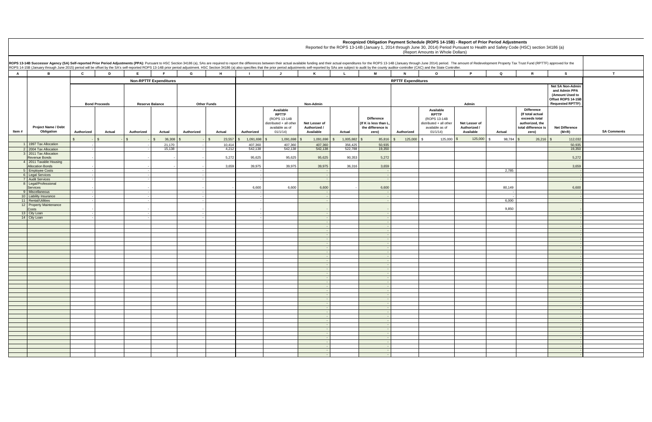|                                           |                                                   |                                                                                                       |               |            |                  |            |                  | Recognized Obligation Payment Schedule (ROPS 14-15B) - Report of Prior Period Adjustments<br>Reported for the ROPS 13-14B (January 1, 2014 through June 30, 2014) Period Pursuant to Health and Safety Code (HSC) section 34186 (a)<br>(Report Amounts in Whole Dollars) |                                                                                                            |                                            |                    |                                                                        |                                        |                                                                                                                                                                                                                                                                                                                                                                                                                                                                 |                                            |               |                                                                                                           |                                  |                    |
|-------------------------------------------|---------------------------------------------------|-------------------------------------------------------------------------------------------------------|---------------|------------|------------------|------------|------------------|--------------------------------------------------------------------------------------------------------------------------------------------------------------------------------------------------------------------------------------------------------------------------|------------------------------------------------------------------------------------------------------------|--------------------------------------------|--------------------|------------------------------------------------------------------------|----------------------------------------|-----------------------------------------------------------------------------------------------------------------------------------------------------------------------------------------------------------------------------------------------------------------------------------------------------------------------------------------------------------------------------------------------------------------------------------------------------------------|--------------------------------------------|---------------|-----------------------------------------------------------------------------------------------------------|----------------------------------|--------------------|
|                                           |                                                   |                                                                                                       |               |            |                  |            |                  |                                                                                                                                                                                                                                                                          |                                                                                                            |                                            |                    |                                                                        |                                        | Successor Agency (SA) Self-reported Prior Period Adjustments (PPA): Pursuant to HSC Section 34186 (a), SAs are required to report the differences between their actual expenditures for the ROPS 13-14B (January through June<br>S 14-15B (January through June 2015) period will be offset by the SA's self-reported ROPS 13-14B prior period adjustment. HSC Section 34186 (a) also specifies that the prior period adjustments self-reported by SAs are subj |                                            |               |                                                                                                           |                                  |                    |
|                                           |                                                   | $\mathbf{c}$                                                                                          |               |            |                  | G          | H                |                                                                                                                                                                                                                                                                          |                                                                                                            |                                            |                    | M                                                                      | N                                      | $\Omega$                                                                                                                                                                                                                                                                                                                                                                                                                                                        | D                                          | 0.            |                                                                                                           | <b>S</b>                         |                    |
|                                           |                                                   | <b>Non-RPTTF Expenditures</b><br><b>Bond Proceeds</b><br><b>Reserve Balance</b><br><b>Other Funds</b> |               |            |                  |            | <b>Non-Admin</b> |                                                                                                                                                                                                                                                                          |                                                                                                            |                                            |                    |                                                                        | <b>RPTTF Expenditures</b><br>Available | <b>Net SA Non-Admin</b><br>and Admin PPA<br>(Amount Used to<br>Offset ROPS 14-15B<br><b>Requested RPTTF)</b>                                                                                                                                                                                                                                                                                                                                                    |                                            |               |                                                                                                           |                                  |                    |
| m #                                       | <b>Project Name / Debt</b><br>Obligation          | Authorized                                                                                            | <b>Actual</b> | Authorized | <b>Actual</b>    | Authorized | <b>Actual</b>    | <b>Authorized</b>                                                                                                                                                                                                                                                        | <b>Available</b><br><b>RPTTF</b><br>(ROPS 13-14B<br>distributed + all other<br>available as of<br>01/1/14) | Net Lesser of<br>Authorized /<br>Available | <b>Actual</b>      | <b>Difference</b><br>If K is less than L<br>the difference is<br>zero) | Authorized                             | <b>RPTTF</b><br>(ROPS 13-14B<br>distributed + all other<br>available as of<br>01/1/14                                                                                                                                                                                                                                                                                                                                                                           | Net Lesser of<br>Authorized /<br>Available | <b>Actual</b> | <b>Difference</b><br>(If total actual<br>exceeds total<br>authorized, the<br>total difference is<br>zero) | <b>Net Difference</b><br>$(M+R)$ | <b>SA Comments</b> |
|                                           |                                                   |                                                                                                       |               |            | 36,308           |            | 23,557           | 1,091,698                                                                                                                                                                                                                                                                | 1,091,698                                                                                                  | 1,091,698                                  | 1,005,882          | 85,816                                                                 | 125,000                                |                                                                                                                                                                                                                                                                                                                                                                                                                                                                 | 125,000                                    | 98,784        | $26,216$ \$                                                                                               | 112,032                          |                    |
|                                           | 1 1997 Tax Allocation<br>2 2004 Tax Allocation    |                                                                                                       |               |            | 21,170<br>15,138 |            | 10,414<br>4,212  | 407,360<br>542,138                                                                                                                                                                                                                                                       | 407,360<br>542,138                                                                                         | 407,360<br>542,138                         | 356,425<br>522,788 | 50,935<br>19,350                                                       |                                        |                                                                                                                                                                                                                                                                                                                                                                                                                                                                 |                                            |               |                                                                                                           | 50,935<br>19,350                 |                    |
|                                           | 3 2011 Tax Allocation<br>Revenue Bonds            |                                                                                                       |               |            |                  |            | 5,272            | 95,625                                                                                                                                                                                                                                                                   | 95,625                                                                                                     | 95,625                                     | 90,353             | 5,272                                                                  |                                        |                                                                                                                                                                                                                                                                                                                                                                                                                                                                 |                                            |               |                                                                                                           | 5,272                            |                    |
|                                           | 4 2011 Taxable Housing<br><b>Allocation Bonds</b> |                                                                                                       |               |            |                  |            | 3,659            | 39,975                                                                                                                                                                                                                                                                   | 39,975                                                                                                     | 39,975                                     | 36,316             | 3,659                                                                  |                                        |                                                                                                                                                                                                                                                                                                                                                                                                                                                                 |                                            |               |                                                                                                           | 3,659                            |                    |
| 6   Legal Services                        | 5 Employee Costs                                  |                                                                                                       |               |            |                  |            |                  |                                                                                                                                                                                                                                                                          |                                                                                                            |                                            |                    |                                                                        |                                        |                                                                                                                                                                                                                                                                                                                                                                                                                                                                 |                                            | 2,785         |                                                                                                           |                                  |                    |
| 7 Audit Services                          | 8   Legal/Professional                            |                                                                                                       |               |            |                  |            |                  |                                                                                                                                                                                                                                                                          |                                                                                                            |                                            |                    |                                                                        |                                        |                                                                                                                                                                                                                                                                                                                                                                                                                                                                 |                                            |               |                                                                                                           |                                  |                    |
| Services                                  |                                                   |                                                                                                       |               |            |                  |            |                  | 6,600                                                                                                                                                                                                                                                                    | 6,600                                                                                                      | 6,600                                      |                    | 6,600                                                                  |                                        |                                                                                                                                                                                                                                                                                                                                                                                                                                                                 |                                            | 80,149        |                                                                                                           | 6,600                            |                    |
| 9 Miscellaneous<br>10 Liability Insurance |                                                   |                                                                                                       |               |            |                  |            |                  |                                                                                                                                                                                                                                                                          |                                                                                                            |                                            |                    |                                                                        |                                        |                                                                                                                                                                                                                                                                                                                                                                                                                                                                 |                                            |               |                                                                                                           |                                  |                    |
| 11 Rental/Utilities                       |                                                   |                                                                                                       |               |            |                  |            |                  |                                                                                                                                                                                                                                                                          |                                                                                                            |                                            |                    |                                                                        |                                        |                                                                                                                                                                                                                                                                                                                                                                                                                                                                 |                                            | 6,000         |                                                                                                           |                                  |                    |
| Costs                                     | 12 Property Maintenance                           |                                                                                                       |               |            |                  |            |                  |                                                                                                                                                                                                                                                                          |                                                                                                            |                                            |                    |                                                                        |                                        |                                                                                                                                                                                                                                                                                                                                                                                                                                                                 |                                            | 9,850         |                                                                                                           |                                  |                    |
| 13 City Loan<br>14   City Loan            |                                                   |                                                                                                       |               |            |                  |            |                  |                                                                                                                                                                                                                                                                          |                                                                                                            |                                            |                    |                                                                        |                                        |                                                                                                                                                                                                                                                                                                                                                                                                                                                                 |                                            |               |                                                                                                           |                                  |                    |
|                                           |                                                   |                                                                                                       |               |            |                  |            |                  |                                                                                                                                                                                                                                                                          |                                                                                                            |                                            |                    |                                                                        |                                        |                                                                                                                                                                                                                                                                                                                                                                                                                                                                 |                                            |               |                                                                                                           |                                  |                    |
|                                           |                                                   |                                                                                                       |               |            |                  |            |                  |                                                                                                                                                                                                                                                                          |                                                                                                            |                                            |                    |                                                                        |                                        |                                                                                                                                                                                                                                                                                                                                                                                                                                                                 |                                            |               |                                                                                                           |                                  |                    |
|                                           |                                                   |                                                                                                       |               |            |                  |            |                  |                                                                                                                                                                                                                                                                          |                                                                                                            |                                            |                    |                                                                        |                                        |                                                                                                                                                                                                                                                                                                                                                                                                                                                                 |                                            |               |                                                                                                           |                                  |                    |
|                                           |                                                   |                                                                                                       |               |            |                  |            |                  |                                                                                                                                                                                                                                                                          |                                                                                                            |                                            |                    |                                                                        |                                        |                                                                                                                                                                                                                                                                                                                                                                                                                                                                 |                                            |               |                                                                                                           |                                  |                    |
|                                           |                                                   |                                                                                                       |               |            |                  |            |                  |                                                                                                                                                                                                                                                                          |                                                                                                            |                                            |                    |                                                                        |                                        |                                                                                                                                                                                                                                                                                                                                                                                                                                                                 |                                            |               |                                                                                                           |                                  |                    |
|                                           |                                                   |                                                                                                       |               |            |                  |            |                  |                                                                                                                                                                                                                                                                          |                                                                                                            |                                            |                    |                                                                        |                                        |                                                                                                                                                                                                                                                                                                                                                                                                                                                                 |                                            |               |                                                                                                           |                                  |                    |
|                                           |                                                   |                                                                                                       |               |            |                  |            |                  |                                                                                                                                                                                                                                                                          |                                                                                                            |                                            |                    |                                                                        |                                        |                                                                                                                                                                                                                                                                                                                                                                                                                                                                 |                                            |               |                                                                                                           |                                  |                    |
|                                           |                                                   |                                                                                                       |               |            |                  |            |                  |                                                                                                                                                                                                                                                                          |                                                                                                            |                                            |                    |                                                                        |                                        |                                                                                                                                                                                                                                                                                                                                                                                                                                                                 |                                            |               |                                                                                                           |                                  |                    |
|                                           |                                                   |                                                                                                       |               |            |                  |            |                  |                                                                                                                                                                                                                                                                          |                                                                                                            |                                            |                    |                                                                        |                                        |                                                                                                                                                                                                                                                                                                                                                                                                                                                                 |                                            |               |                                                                                                           |                                  |                    |
|                                           |                                                   |                                                                                                       |               |            |                  |            |                  |                                                                                                                                                                                                                                                                          |                                                                                                            |                                            |                    |                                                                        |                                        |                                                                                                                                                                                                                                                                                                                                                                                                                                                                 |                                            |               |                                                                                                           |                                  |                    |
|                                           |                                                   |                                                                                                       |               |            |                  |            |                  |                                                                                                                                                                                                                                                                          |                                                                                                            |                                            |                    |                                                                        |                                        |                                                                                                                                                                                                                                                                                                                                                                                                                                                                 |                                            |               |                                                                                                           |                                  |                    |
|                                           |                                                   |                                                                                                       |               |            |                  |            |                  |                                                                                                                                                                                                                                                                          |                                                                                                            |                                            |                    |                                                                        |                                        |                                                                                                                                                                                                                                                                                                                                                                                                                                                                 |                                            |               |                                                                                                           |                                  |                    |
|                                           |                                                   |                                                                                                       |               |            |                  |            |                  |                                                                                                                                                                                                                                                                          |                                                                                                            |                                            |                    |                                                                        |                                        |                                                                                                                                                                                                                                                                                                                                                                                                                                                                 |                                            |               |                                                                                                           |                                  |                    |
|                                           |                                                   |                                                                                                       |               |            |                  |            |                  |                                                                                                                                                                                                                                                                          |                                                                                                            |                                            |                    |                                                                        |                                        |                                                                                                                                                                                                                                                                                                                                                                                                                                                                 |                                            |               |                                                                                                           |                                  |                    |
|                                           |                                                   |                                                                                                       |               |            |                  |            |                  |                                                                                                                                                                                                                                                                          |                                                                                                            |                                            |                    |                                                                        |                                        |                                                                                                                                                                                                                                                                                                                                                                                                                                                                 |                                            |               |                                                                                                           |                                  |                    |
|                                           |                                                   |                                                                                                       |               |            |                  |            |                  |                                                                                                                                                                                                                                                                          |                                                                                                            |                                            |                    |                                                                        |                                        |                                                                                                                                                                                                                                                                                                                                                                                                                                                                 |                                            |               |                                                                                                           |                                  |                    |
|                                           |                                                   |                                                                                                       |               |            |                  |            |                  |                                                                                                                                                                                                                                                                          |                                                                                                            |                                            |                    |                                                                        |                                        |                                                                                                                                                                                                                                                                                                                                                                                                                                                                 |                                            |               |                                                                                                           |                                  |                    |
|                                           |                                                   |                                                                                                       |               |            |                  |            |                  |                                                                                                                                                                                                                                                                          |                                                                                                            |                                            |                    |                                                                        |                                        |                                                                                                                                                                                                                                                                                                                                                                                                                                                                 |                                            |               |                                                                                                           |                                  |                    |
|                                           |                                                   |                                                                                                       |               |            |                  |            |                  |                                                                                                                                                                                                                                                                          |                                                                                                            |                                            |                    |                                                                        |                                        |                                                                                                                                                                                                                                                                                                                                                                                                                                                                 |                                            |               |                                                                                                           |                                  |                    |
|                                           |                                                   |                                                                                                       |               |            |                  |            |                  |                                                                                                                                                                                                                                                                          |                                                                                                            |                                            |                    |                                                                        |                                        |                                                                                                                                                                                                                                                                                                                                                                                                                                                                 |                                            |               |                                                                                                           |                                  |                    |
|                                           |                                                   |                                                                                                       |               |            |                  |            |                  |                                                                                                                                                                                                                                                                          |                                                                                                            |                                            |                    |                                                                        |                                        |                                                                                                                                                                                                                                                                                                                                                                                                                                                                 |                                            |               |                                                                                                           |                                  |                    |
|                                           |                                                   |                                                                                                       |               |            |                  |            |                  |                                                                                                                                                                                                                                                                          |                                                                                                            |                                            |                    |                                                                        |                                        |                                                                                                                                                                                                                                                                                                                                                                                                                                                                 |                                            |               |                                                                                                           |                                  |                    |

|              |                                                 |                                                                                                                                                                                                                                                                                                                                                                                                                                                                  |                        |                               |                   |                    |                       |                                                                                                            |                                                   |                |                                                                          |                           | (Report Amounts in Whole Dollars)                                                                          |                                                   |               |                                                                                                           |                                                                                                              |
|--------------|-------------------------------------------------|------------------------------------------------------------------------------------------------------------------------------------------------------------------------------------------------------------------------------------------------------------------------------------------------------------------------------------------------------------------------------------------------------------------------------------------------------------------|------------------------|-------------------------------|-------------------|--------------------|-----------------------|------------------------------------------------------------------------------------------------------------|---------------------------------------------------|----------------|--------------------------------------------------------------------------|---------------------------|------------------------------------------------------------------------------------------------------------|---------------------------------------------------|---------------|-----------------------------------------------------------------------------------------------------------|--------------------------------------------------------------------------------------------------------------|
|              |                                                 |                                                                                                                                                                                                                                                                                                                                                                                                                                                                  |                        |                               |                   |                    |                       |                                                                                                            |                                                   |                |                                                                          |                           |                                                                                                            |                                                   |               |                                                                                                           |                                                                                                              |
|              |                                                 | ROPS 13-14B Successor Agency (SA) Self-reported Prior Period Adjustments (PPA): Pursuant to HSC Section 34186 (a), SAs are required to report the differences between their actual expenditures for the ROPS 13-14B (January t<br>ROPS 14-15B (January through June 2015) period will be offset by the SA's self-reported ROPS 13-14B prior period adjustment. HSC Section 34186 (a) also specifies that the prior period adjustments self-reported by SAs are s |                        |                               |                   |                    |                       |                                                                                                            |                                                   |                |                                                                          |                           |                                                                                                            |                                                   |               |                                                                                                           |                                                                                                              |
| $\mathsf{A}$ | B                                               | $\mathbf{C}$<br>D                                                                                                                                                                                                                                                                                                                                                                                                                                                | E                      |                               | G                 | H                  |                       |                                                                                                            | K                                                 |                | M                                                                        | $\mathbf N$               | $\mathbf{o}$                                                                                               | P.                                                | Q             | R                                                                                                         | - S                                                                                                          |
|              |                                                 |                                                                                                                                                                                                                                                                                                                                                                                                                                                                  |                        | <b>Non-RPTTF Expenditures</b> |                   |                    |                       |                                                                                                            |                                                   |                |                                                                          | <b>RPTTF Expenditures</b> |                                                                                                            |                                                   |               |                                                                                                           |                                                                                                              |
|              |                                                 | <b>Bond Proceeds</b>                                                                                                                                                                                                                                                                                                                                                                                                                                             | <b>Reserve Balance</b> |                               |                   | <b>Other Funds</b> |                       |                                                                                                            | Non-Admin                                         |                |                                                                          |                           |                                                                                                            | Admin                                             |               |                                                                                                           | <b>Net SA Non-Admin</b><br>and Admin PPA<br>(Amount Used to<br>Offset ROPS 14-15B<br><b>Requested RPTTF)</b> |
| ltem #       | <b>Project Name / Debt</b><br>Obligation        | <b>Authorized</b><br><b>Actual</b>                                                                                                                                                                                                                                                                                                                                                                                                                               | <b>Authorized</b>      | <b>Actual</b>                 | <b>Authorized</b> | <b>Actual</b>      | Authorized            | <b>Available</b><br><b>RPTTF</b><br>(ROPS 13-14B<br>distributed + all other<br>available as of<br>01/1/14) | Net Lesser of<br>Authorized /<br><b>Available</b> | <b>Actual</b>  | <b>Difference</b><br>(If K is less than L,<br>the difference is<br>zero) | Authorized                | <b>Available</b><br><b>RPTTF</b><br>(ROPS 13-14B<br>distributed + all other<br>available as of<br>01/1/14) | Net Lesser of<br>Authorized /<br><b>Available</b> | <b>Actual</b> | <b>Difference</b><br>(If total actual<br>exceeds total<br>authorized, the<br>total difference is<br>zero) | <b>Net Difference</b><br>$(M+R)$                                                                             |
|              |                                                 |                                                                                                                                                                                                                                                                                                                                                                                                                                                                  |                        | $36,308$ \$                   |                   | 23,557<br>\$       | $1,091,698$ \$<br>-\$ | $1,091,698$ \$                                                                                             | $1,091,698$ \$                                    | $1,005,882$ \$ | $85,816$ \$                                                              | 125,000                   | -\$                                                                                                        | $125,000$ \$                                      | $98,784$ \$   | $26,216$ \$                                                                                               | 112,032                                                                                                      |
|              | 1   1997 Tax Allocation                         |                                                                                                                                                                                                                                                                                                                                                                                                                                                                  |                        | 21,170                        |                   | 10,414             | 407,360               | 407,360                                                                                                    | 407,360                                           | 356,425        | 50,935                                                                   |                           |                                                                                                            |                                                   |               |                                                                                                           | 50,935                                                                                                       |
|              | 2004 Tax Allocation<br>2011 Tax Allocation      |                                                                                                                                                                                                                                                                                                                                                                                                                                                                  |                        | 15,138                        |                   | 4,212              | 542,138               | 542,138                                                                                                    | 542,138                                           | 522,788        | 19,350                                                                   |                           |                                                                                                            |                                                   |               |                                                                                                           | 19,350                                                                                                       |
|              | Revenue Bonds<br>2011 Taxable Housing           |                                                                                                                                                                                                                                                                                                                                                                                                                                                                  |                        |                               |                   | 5,272              | 95,625                | 95,625                                                                                                     | 95,625                                            | 90,353         | 5,272                                                                    |                           |                                                                                                            |                                                   |               |                                                                                                           | 5,272                                                                                                        |
|              | <b>Allocation Bonds</b>                         |                                                                                                                                                                                                                                                                                                                                                                                                                                                                  |                        |                               |                   | 3,659              | 39,975                | 39,975                                                                                                     | 39,975                                            | 36,316         | 3,659                                                                    |                           |                                                                                                            |                                                   |               |                                                                                                           | 3,659                                                                                                        |
|              | 5 Employee Costs                                |                                                                                                                                                                                                                                                                                                                                                                                                                                                                  |                        |                               |                   |                    |                       |                                                                                                            |                                                   |                |                                                                          |                           |                                                                                                            |                                                   | 2,785         |                                                                                                           | $\sim$                                                                                                       |
|              | 6 Legal Services<br>7 Audit Services            |                                                                                                                                                                                                                                                                                                                                                                                                                                                                  |                        |                               |                   |                    |                       |                                                                                                            |                                                   |                |                                                                          |                           |                                                                                                            |                                                   |               |                                                                                                           | $\sim$<br>$\sim$                                                                                             |
|              | 8 Legal/Professional<br>Services                |                                                                                                                                                                                                                                                                                                                                                                                                                                                                  |                        |                               |                   |                    | 6,600                 | 6,600                                                                                                      | 6,600                                             |                | 6,600                                                                    |                           |                                                                                                            |                                                   | 80,149        |                                                                                                           | 6,600                                                                                                        |
|              | 9 Miscellaneous                                 |                                                                                                                                                                                                                                                                                                                                                                                                                                                                  |                        |                               |                   |                    |                       |                                                                                                            |                                                   |                |                                                                          |                           |                                                                                                            |                                                   |               |                                                                                                           | $\sim$ $-$                                                                                                   |
|              | 10   Liability Insurance<br>11 Rental/Utilities |                                                                                                                                                                                                                                                                                                                                                                                                                                                                  |                        |                               |                   |                    |                       |                                                                                                            |                                                   |                |                                                                          |                           |                                                                                                            |                                                   | 6,000         |                                                                                                           | $\sim$ $-$                                                                                                   |
|              | 12 Property Maintenance<br>Costs                |                                                                                                                                                                                                                                                                                                                                                                                                                                                                  |                        |                               |                   |                    |                       |                                                                                                            |                                                   |                |                                                                          |                           |                                                                                                            |                                                   | 9,850         |                                                                                                           |                                                                                                              |
|              | 13 City Loan                                    |                                                                                                                                                                                                                                                                                                                                                                                                                                                                  |                        |                               |                   |                    |                       |                                                                                                            |                                                   |                |                                                                          |                           |                                                                                                            |                                                   |               |                                                                                                           |                                                                                                              |
|              | 14 City Loan                                    |                                                                                                                                                                                                                                                                                                                                                                                                                                                                  |                        |                               |                   |                    |                       |                                                                                                            |                                                   |                |                                                                          |                           |                                                                                                            |                                                   |               |                                                                                                           |                                                                                                              |
|              |                                                 |                                                                                                                                                                                                                                                                                                                                                                                                                                                                  |                        |                               |                   |                    |                       |                                                                                                            |                                                   |                |                                                                          |                           |                                                                                                            |                                                   |               |                                                                                                           |                                                                                                              |
|              |                                                 |                                                                                                                                                                                                                                                                                                                                                                                                                                                                  |                        |                               |                   |                    |                       |                                                                                                            |                                                   |                |                                                                          |                           |                                                                                                            |                                                   |               |                                                                                                           |                                                                                                              |
|              |                                                 |                                                                                                                                                                                                                                                                                                                                                                                                                                                                  |                        |                               |                   |                    |                       |                                                                                                            |                                                   |                |                                                                          |                           |                                                                                                            |                                                   |               |                                                                                                           |                                                                                                              |
|              |                                                 |                                                                                                                                                                                                                                                                                                                                                                                                                                                                  |                        |                               |                   |                    |                       |                                                                                                            |                                                   |                |                                                                          |                           |                                                                                                            |                                                   |               |                                                                                                           |                                                                                                              |
|              |                                                 |                                                                                                                                                                                                                                                                                                                                                                                                                                                                  |                        |                               |                   |                    |                       |                                                                                                            |                                                   |                |                                                                          |                           |                                                                                                            |                                                   |               |                                                                                                           |                                                                                                              |
|              |                                                 |                                                                                                                                                                                                                                                                                                                                                                                                                                                                  |                        |                               |                   |                    |                       |                                                                                                            |                                                   |                |                                                                          |                           |                                                                                                            |                                                   |               |                                                                                                           |                                                                                                              |
|              |                                                 |                                                                                                                                                                                                                                                                                                                                                                                                                                                                  |                        |                               |                   |                    |                       |                                                                                                            |                                                   |                |                                                                          |                           |                                                                                                            |                                                   |               |                                                                                                           |                                                                                                              |
|              |                                                 |                                                                                                                                                                                                                                                                                                                                                                                                                                                                  |                        |                               |                   |                    |                       |                                                                                                            |                                                   |                |                                                                          |                           |                                                                                                            |                                                   |               |                                                                                                           |                                                                                                              |
|              |                                                 |                                                                                                                                                                                                                                                                                                                                                                                                                                                                  |                        |                               |                   |                    |                       |                                                                                                            |                                                   |                |                                                                          |                           |                                                                                                            |                                                   |               |                                                                                                           |                                                                                                              |
|              |                                                 |                                                                                                                                                                                                                                                                                                                                                                                                                                                                  |                        |                               |                   |                    |                       |                                                                                                            |                                                   |                |                                                                          |                           |                                                                                                            |                                                   |               |                                                                                                           |                                                                                                              |
|              |                                                 |                                                                                                                                                                                                                                                                                                                                                                                                                                                                  |                        |                               |                   |                    |                       |                                                                                                            |                                                   |                |                                                                          |                           |                                                                                                            |                                                   |               |                                                                                                           |                                                                                                              |
|              |                                                 |                                                                                                                                                                                                                                                                                                                                                                                                                                                                  |                        |                               |                   |                    |                       |                                                                                                            |                                                   |                |                                                                          |                           |                                                                                                            |                                                   |               |                                                                                                           |                                                                                                              |
|              |                                                 |                                                                                                                                                                                                                                                                                                                                                                                                                                                                  |                        |                               |                   |                    |                       |                                                                                                            |                                                   |                |                                                                          |                           |                                                                                                            |                                                   |               |                                                                                                           |                                                                                                              |
|              |                                                 |                                                                                                                                                                                                                                                                                                                                                                                                                                                                  |                        |                               |                   |                    |                       |                                                                                                            |                                                   |                |                                                                          |                           |                                                                                                            |                                                   |               |                                                                                                           |                                                                                                              |
|              |                                                 |                                                                                                                                                                                                                                                                                                                                                                                                                                                                  |                        |                               |                   |                    |                       |                                                                                                            |                                                   |                |                                                                          |                           |                                                                                                            |                                                   |               |                                                                                                           |                                                                                                              |
|              |                                                 |                                                                                                                                                                                                                                                                                                                                                                                                                                                                  |                        |                               |                   |                    |                       |                                                                                                            |                                                   |                |                                                                          |                           |                                                                                                            |                                                   |               |                                                                                                           |                                                                                                              |
|              |                                                 |                                                                                                                                                                                                                                                                                                                                                                                                                                                                  |                        |                               |                   |                    |                       |                                                                                                            |                                                   |                |                                                                          |                           |                                                                                                            |                                                   |               |                                                                                                           |                                                                                                              |
|              |                                                 |                                                                                                                                                                                                                                                                                                                                                                                                                                                                  |                        |                               |                   |                    |                       |                                                                                                            |                                                   |                |                                                                          |                           |                                                                                                            |                                                   |               |                                                                                                           |                                                                                                              |
|              |                                                 |                                                                                                                                                                                                                                                                                                                                                                                                                                                                  |                        |                               |                   |                    |                       |                                                                                                            |                                                   |                |                                                                          |                           |                                                                                                            |                                                   |               |                                                                                                           |                                                                                                              |
|              |                                                 |                                                                                                                                                                                                                                                                                                                                                                                                                                                                  |                        |                               |                   |                    |                       |                                                                                                            |                                                   |                |                                                                          |                           |                                                                                                            |                                                   |               |                                                                                                           |                                                                                                              |
|              |                                                 |                                                                                                                                                                                                                                                                                                                                                                                                                                                                  |                        |                               |                   |                    |                       |                                                                                                            |                                                   |                |                                                                          |                           |                                                                                                            |                                                   |               |                                                                                                           |                                                                                                              |
|              |                                                 |                                                                                                                                                                                                                                                                                                                                                                                                                                                                  |                        |                               |                   |                    |                       |                                                                                                            |                                                   |                |                                                                          |                           |                                                                                                            |                                                   |               |                                                                                                           |                                                                                                              |